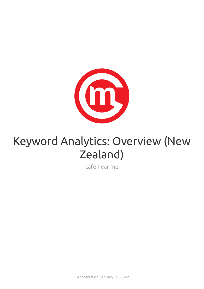

# Keyword Analytics: Overview (New Zealand)

cafe near me

Generated on January 28, 2022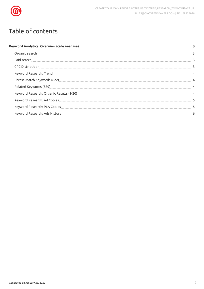

## Table of contents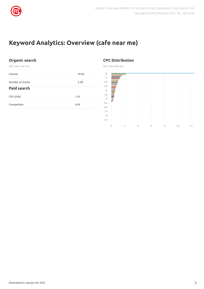

## <span id="page-2-0"></span>**Keyword Analytics: Overview (cafe near me)**

#### <span id="page-2-1"></span>**Organic search**

NZ | cafe near me

<span id="page-2-2"></span>

| Volume             | 49.5K |
|--------------------|-------|
| Number of results  | 3.3B  |
| <b>Paid search</b> |       |
| CPC (USD)          | 1.42  |
| Competition        | 0.05  |
|                    |       |

#### <span id="page-2-3"></span>**CPC Distribution**

NZ | cafe near me

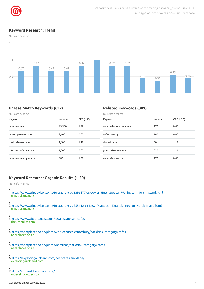

#### <span id="page-3-0"></span>**Keyword Research: Trend**

NZ | cafe near me

1.5



#### <span id="page-3-1"></span>**Phrase Match Keywords (622)**

#### <span id="page-3-2"></span>**Related Keywords (389)**

| NZ   cafe near me     |        |           | NZ   cafe near me       |        |           |  |
|-----------------------|--------|-----------|-------------------------|--------|-----------|--|
| Keyword               | Volume | CPC (USD) | Keyword                 | Volume | CPC (USD) |  |
| cafe near me          | 49,500 | 1.42      | cafe restaurant near me | 170    | 0.00      |  |
| cafes open near me    | 2,400  | 2.05      | cafes near by           | 140    | 0.00      |  |
| best cafe near me     | 1.600  | 1.17      | closest cafe            | 50     | 1.12      |  |
| internet cafe near me | 1,000  | 0.00      | good cafes near me      | 320    | 1.14      |  |
| cafe near me open now | 880    | 1.38      | nice cafe near me       | 170    | 0.00      |  |

#### <span id="page-3-3"></span>**Keyword Research: Organic Results (1-20)**

NZ | cafe near me

- 1 [https://www.tripadvisor.co.nz/Restaurants-g1396877-c8-Lower\\_Hutt\\_Greater\\_Wellington\\_North\\_Island.html](https://www.tripadvisor.co.nz/Restaurants-g1396877-c8-Lower_Hutt_Greater_Wellington_North_Island.html) tripadvisor.co.nz
- 2 [https://www.tripadvisor.co.nz/Restaurants-g255112-c8-New\\_Plymouth\\_Taranaki\\_Region\\_North\\_Island.html](https://www.tripadvisor.co.nz/Restaurants-g255112-c8-New_Plymouth_Taranaki_Region_North_Island.html) tripadvisor.co.nz
- 3 <https://www.theurbanlist.com/nz/a-list/nelson-cafes> theurbanlist.com
- 4 <https://neatplaces.co.nz/places/christchurch-canterbury/eat-drink?category=cafes> neatplaces.co.nz
- 5 <https://neatplaces.co.nz/places/hamilton/eat-drink?category=cafes> neatplaces.co.nz
- 6 <https://exploringauckland.com/best-cafes-auckland/> exploringauckland.com
- 7 <https://moerakiboulders.co.nz/> moerakiboulders.co.nz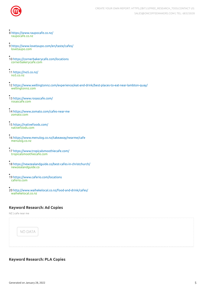

- 8 <https://www.raupocafe.co.nz/> raupocafe.co.nz
- 9 <https://www.lovetaupo.com/en/taste/cafes/> lovetaupo.com
- 10 <https://cornerbakerycafe.com/locations> cornerbakerycafe.com
- 11 <https://no5.co.nz/> no5.co.nz
- 12 <https://www.wellingtonnz.com/experience/eat-and-drink/best-places-to-eat-near-lambton-quay/> wellingtonnz.com
- 13 <https://www.rosascafe.com/> rosascafe.com
- 14 <https://www.zomato.com/cafes-near-me> zomato.com
- 15 <https://nativefoods.com/> nativefoods.com
- 16 <https://www.menulog.co.nz/takeaway/nearme/cafe> menulog.co.nz
- 17 <https://www.tropicalsmoothiecafe.com/> tropicalsmoothiecafe.com
- 18 <https://newzealandguide.co/best-cafes-in-christchurch/> newzealandguide.co
- 19 <https://www.caferio.com/locations> caferio.com
- 20 <http://www.waihekelocal.co.nz/food-and-drink/cafes/> waihekelocal.co.nz

#### <span id="page-4-0"></span>**Keyword Research: Ad Copies**

NZ | cafe near me



#### <span id="page-4-1"></span>**Keyword Research: PLA Copies**